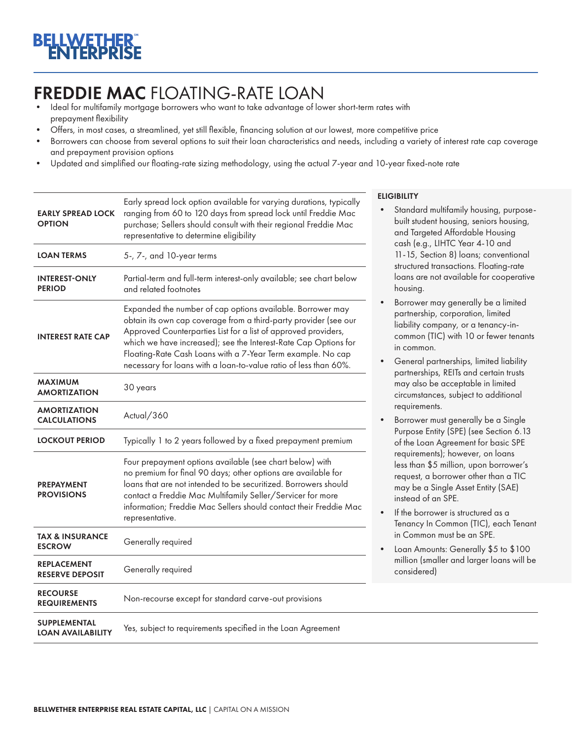# FREDDIE MAC FLOATING-RATE LOAN<br>• Ideal for multifamily mortgage borrowers who want to take advantage of lower short-term rates with

- prepayment flexibility
- Offers, in most cases, a streamlined, yet still flexible, financing solution at our lowest, more competitive price
- Borrowers can choose from several options to suit their loan characteristics and needs, including a variety of interest rate cap coverage and prepayment provision options
- Updated and simplified our floating-rate sizing methodology, using the actual 7-year and 10-year fixed-note rate

| <b>EARLY SPREAD LOCK</b><br><b>OPTION</b>       | Early spread lock option available for varying durations, typically<br>ranging from 60 to 120 days from spread lock until Freddie Mac<br>purchase; Sellers should consult with their regional Freddie Mac<br>representative to determine eligibility                                                                                                                                                   |  |  |  |  |
|-------------------------------------------------|--------------------------------------------------------------------------------------------------------------------------------------------------------------------------------------------------------------------------------------------------------------------------------------------------------------------------------------------------------------------------------------------------------|--|--|--|--|
| <b>LOAN TERMS</b>                               | 5-, 7-, and 10-year terms                                                                                                                                                                                                                                                                                                                                                                              |  |  |  |  |
| <b>INTEREST-ONLY</b><br><b>PERIOD</b>           | Partial-term and full-term interest-only available; see chart below<br>and related footnotes                                                                                                                                                                                                                                                                                                           |  |  |  |  |
| <b>INTEREST RATE CAP</b>                        | Expanded the number of cap options available. Borrower may<br>obtain its own cap coverage from a third-party provider (see our<br>Approved Counterparties List for a list of approved providers,<br>which we have increased); see the Interest-Rate Cap Options for<br>Floating-Rate Cash Loans with a 7-Year Term example. No cap<br>necessary for loans with a loan-to-value ratio of less than 60%. |  |  |  |  |
| <b>MAXIMUM</b><br><b>AMORTIZATION</b>           | 30 years                                                                                                                                                                                                                                                                                                                                                                                               |  |  |  |  |
| <b>AMORTIZATION</b><br><b>CALCULATIONS</b>      | Actual/360                                                                                                                                                                                                                                                                                                                                                                                             |  |  |  |  |
| <b>LOCKOUT PERIOD</b>                           | Typically 1 to 2 years followed by a fixed prepayment premium                                                                                                                                                                                                                                                                                                                                          |  |  |  |  |
| <b>PREPAYMENT</b><br><b>PROVISIONS</b>          | Four prepayment options available (see chart below) with<br>no premium for final 90 days; other options are available for<br>loans that are not intended to be securitized. Borrowers should<br>contact a Freddie Mac Multifamily Seller/Servicer for more<br>information; Freddie Mac Sellers should contact their Freddie Mac<br>representative.                                                     |  |  |  |  |
| <b>TAX &amp; INSURANCE</b><br><b>ESCROW</b>     | Generally required                                                                                                                                                                                                                                                                                                                                                                                     |  |  |  |  |
| <b>REPLACEMENT</b><br><b>RESERVE DEPOSIT</b>    | Generally required                                                                                                                                                                                                                                                                                                                                                                                     |  |  |  |  |
| <b>RECOURSE</b><br><b>REQUIREMENTS</b>          | Non-recourse except for standard carve-out provisions                                                                                                                                                                                                                                                                                                                                                  |  |  |  |  |
| <b>SUPPLEMENTAL</b><br><b>LOAN AVAILABILITY</b> | Yes, subject to requirements specified in the Loan Agreement                                                                                                                                                                                                                                                                                                                                           |  |  |  |  |

### **LIGIBILITY**

- Standard multifamily housing, purposebuilt student housing, seniors housing, and Targeted Affordable Housing cash (e.g., LIHTC Year 4-10 and 11-15, Section 8) loans; conventional structured transactions. Floating-rate loans are not available for cooperative housing.
- Borrower may generally be a limited partnership, corporation, limited liability company, or a tenancy-incommon (TIC) with 10 or fewer tenants in common.
- General partnerships, limited liability partnerships, REITs and certain trusts may also be acceptable in limited circumstances, subject to additional requirements.
- Borrower must generally be a Single Purpose Entity (SPE) (see Section 6.13 of the Loan Agreement for basic SPE requirements); however, on loans less than \$5 million, upon borrower's request, a borrower other than a TIC may be a Single Asset Entity (SAE) instead of an SPE.
- If the borrower is structured as a Tenancy In Common (TIC), each Tenant in Common must be an SPE.
- Loan Amounts: Generally \$5 to \$100 million (smaller and larger loans will be considered)